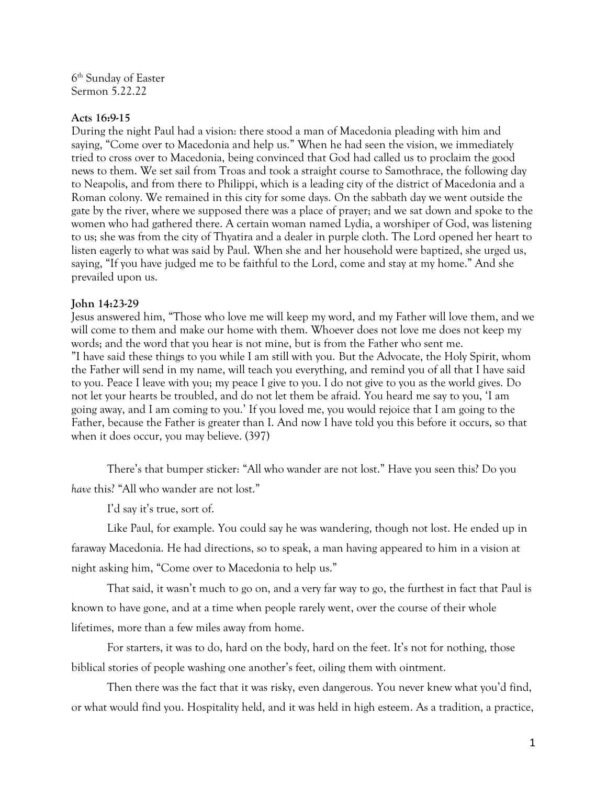6 th Sunday of Easter Sermon 5.22.22

## **Acts 16:9-15**

During the night Paul had a vision: there stood a man of Macedonia pleading with him and saying, "Come over to Macedonia and help us." When he had seen the vision, we immediately tried to cross over to Macedonia, being convinced that God had called us to proclaim the good news to them. We set sail from Troas and took a straight course to Samothrace, the following day to Neapolis, and from there to Philippi, which is a leading city of the district of Macedonia and a Roman colony. We remained in this city for some days. On the sabbath day we went outside the gate by the river, where we supposed there was a place of prayer; and we sat down and spoke to the women who had gathered there. A certain woman named Lydia, a worshiper of God, was listening to us; she was from the city of Thyatira and a dealer in purple cloth. The Lord opened her heart to listen eagerly to what was said by Paul. When she and her household were baptized, she urged us, saying, "If you have judged me to be faithful to the Lord, come and stay at my home." And she prevailed upon us.

## **John 14:23-29**

Jesus answered him, "Those who love me will keep my word, and my Father will love them, and we will come to them and make our home with them. Whoever does not love me does not keep my words; and the word that you hear is not mine, but is from the Father who sent me. "I have said these things to you while I am still with you. But the Advocate, the Holy Spirit, whom the Father will send in my name, will teach you everything, and remind you of all that I have said to you. Peace I leave with you; my peace I give to you. I do not give to you as the world gives. Do not let your hearts be troubled, and do not let them be afraid. You heard me say to you, 'I am going away, and I am coming to you.' If you loved me, you would rejoice that I am going to the Father, because the Father is greater than I. And now I have told you this before it occurs, so that when it does occur, you may believe. (397)

There's that bumper sticker: "All who wander are not lost." Have you seen this? Do you *have* this? "All who wander are not lost."

I'd say it's true, sort of.

Like Paul, for example. You could say he was wandering, though not lost. He ended up in faraway Macedonia. He had directions, so to speak, a man having appeared to him in a vision at night asking him, "Come over to Macedonia to help us."

That said, it wasn't much to go on, and a very far way to go, the furthest in fact that Paul is known to have gone, and at a time when people rarely went, over the course of their whole lifetimes, more than a few miles away from home.

For starters, it was to do, hard on the body, hard on the feet. It's not for nothing, those biblical stories of people washing one another's feet, oiling them with ointment.

Then there was the fact that it was risky, even dangerous. You never knew what you'd find, or what would find you. Hospitality held, and it was held in high esteem. As a tradition, a practice,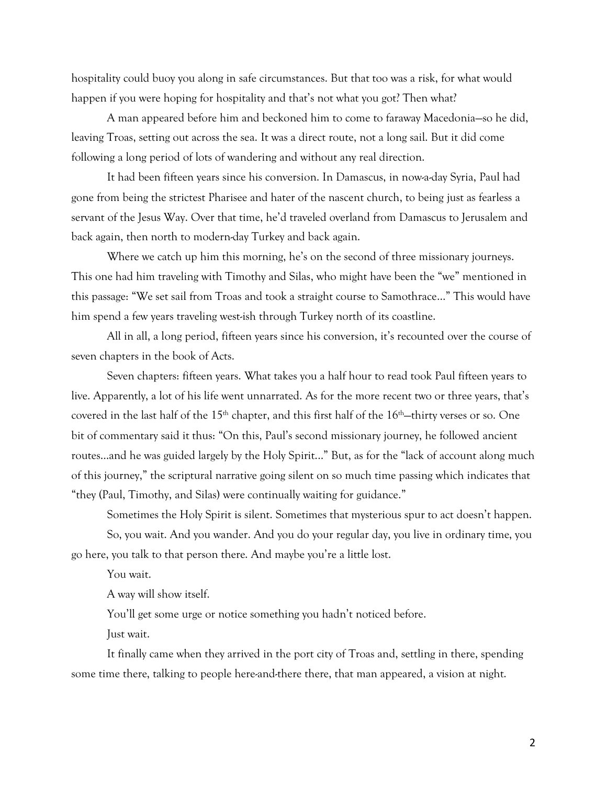hospitality could buoy you along in safe circumstances. But that too was a risk, for what would happen if you were hoping for hospitality and that's not what you got? Then what?

A man appeared before him and beckoned him to come to faraway Macedonia—so he did, leaving Troas, setting out across the sea. It was a direct route, not a long sail. But it did come following a long period of lots of wandering and without any real direction.

It had been fifteen years since his conversion. In Damascus, in now-a-day Syria, Paul had gone from being the strictest Pharisee and hater of the nascent church, to being just as fearless a servant of the Jesus Way. Over that time, he'd traveled overland from Damascus to Jerusalem and back again, then north to modern-day Turkey and back again.

Where we catch up him this morning, he's on the second of three missionary journeys. This one had him traveling with Timothy and Silas, who might have been the "we" mentioned in this passage: "We set sail from Troas and took a straight course to Samothrace…" This would have him spend a few years traveling west-ish through Turkey north of its coastline.

All in all, a long period, fifteen years since his conversion, it's recounted over the course of seven chapters in the book of Acts.

Seven chapters: fifteen years. What takes you a half hour to read took Paul fifteen years to live. Apparently, a lot of his life went unnarrated. As for the more recent two or three years, that's covered in the last half of the 15<sup>th</sup> chapter, and this first half of the 16<sup>th</sup>–thirty verses or so. One bit of commentary said it thus: "On this, Paul's second missionary journey, he followed ancient routes…and he was guided largely by the Holy Spirit..." But, as for the "lack of account along much of this journey," the scriptural narrative going silent on so much time passing which indicates that "they (Paul, Timothy, and Silas) were continually waiting for guidance."

Sometimes the Holy Spirit is silent. Sometimes that mysterious spur to act doesn't happen. So, you wait. And you wander. And you do your regular day, you live in ordinary time, you go here, you talk to that person there. And maybe you're a little lost.

You wait.

A way will show itself.

You'll get some urge or notice something you hadn't noticed before.

Just wait.

It finally came when they arrived in the port city of Troas and, settling in there, spending some time there, talking to people here-and-there there, that man appeared, a vision at night.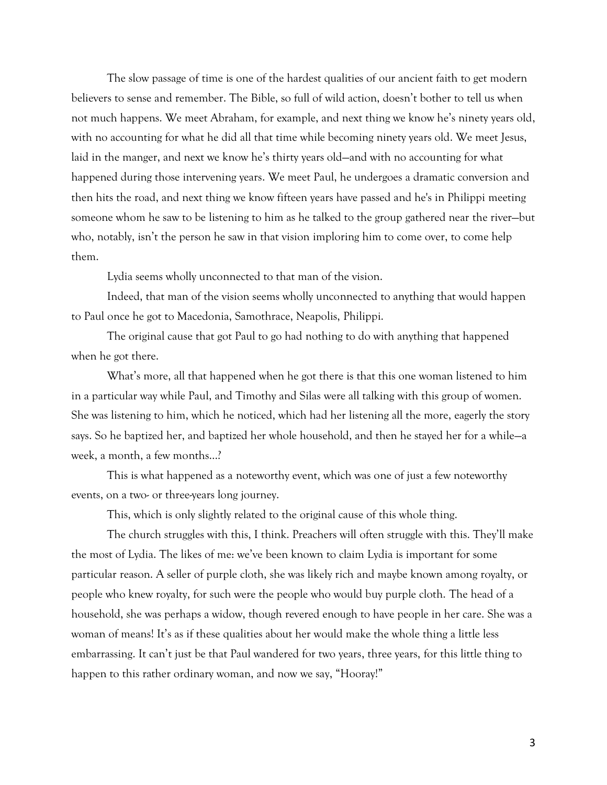The slow passage of time is one of the hardest qualities of our ancient faith to get modern believers to sense and remember. The Bible, so full of wild action, doesn't bother to tell us when not much happens. We meet Abraham, for example, and next thing we know he's ninety years old, with no accounting for what he did all that time while becoming ninety years old. We meet Jesus, laid in the manger, and next we know he's thirty years old—and with no accounting for what happened during those intervening years. We meet Paul, he undergoes a dramatic conversion and then hits the road, and next thing we know fifteen years have passed and he's in Philippi meeting someone whom he saw to be listening to him as he talked to the group gathered near the river—but who, notably, isn't the person he saw in that vision imploring him to come over, to come help them.

Lydia seems wholly unconnected to that man of the vision.

Indeed, that man of the vision seems wholly unconnected to anything that would happen to Paul once he got to Macedonia, Samothrace, Neapolis, Philippi.

The original cause that got Paul to go had nothing to do with anything that happened when he got there.

What's more, all that happened when he got there is that this one woman listened to him in a particular way while Paul, and Timothy and Silas were all talking with this group of women. She was listening to him, which he noticed, which had her listening all the more, eagerly the story says. So he baptized her, and baptized her whole household, and then he stayed her for a while—a week, a month, a few months…?

This is what happened as a noteworthy event, which was one of just a few noteworthy events, on a two- or three-years long journey.

This, which is only slightly related to the original cause of this whole thing.

The church struggles with this, I think. Preachers will often struggle with this. They'll make the most of Lydia. The likes of me: we've been known to claim Lydia is important for some particular reason. A seller of purple cloth, she was likely rich and maybe known among royalty, or people who knew royalty, for such were the people who would buy purple cloth. The head of a household, she was perhaps a widow, though revered enough to have people in her care. She was a woman of means! It's as if these qualities about her would make the whole thing a little less embarrassing. It can't just be that Paul wandered for two years, three years, for this little thing to happen to this rather ordinary woman, and now we say, "Hooray!"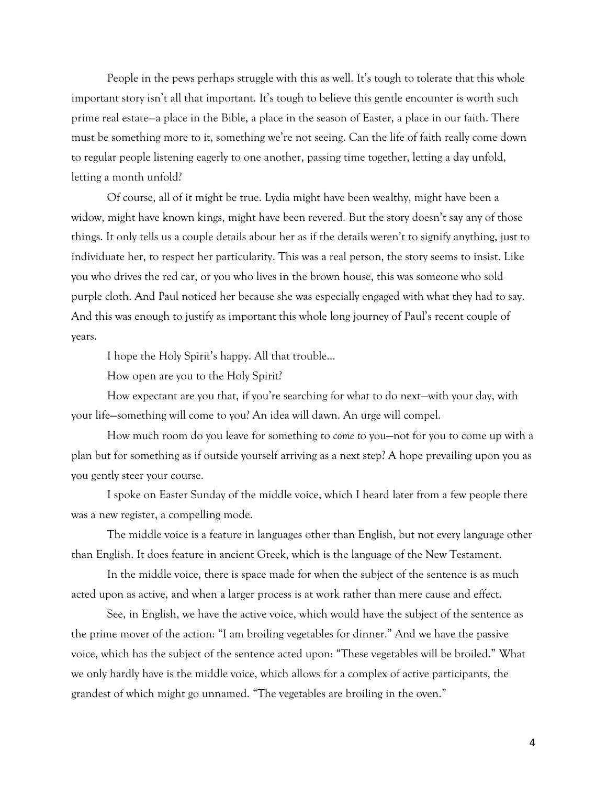People in the pews perhaps struggle with this as well. It's tough to tolerate that this whole important story isn't all that important. It's tough to believe this gentle encounter is worth such prime real estate—a place in the Bible, a place in the season of Easter, a place in our faith. There must be something more to it, something we're not seeing. Can the life of faith really come down to regular people listening eagerly to one another, passing time together, letting a day unfold, letting a month unfold?

Of course, all of it might be true. Lydia might have been wealthy, might have been a widow, might have known kings, might have been revered. But the story doesn't say any of those things. It only tells us a couple details about her as if the details weren't to signify anything, just to individuate her, to respect her particularity. This was a real person, the story seems to insist. Like you who drives the red car, or you who lives in the brown house, this was someone who sold purple cloth. And Paul noticed her because she was especially engaged with what they had to say. And this was enough to justify as important this whole long journey of Paul's recent couple of years.

I hope the Holy Spirit's happy. All that trouble…

How open are you to the Holy Spirit?

How expectant are you that, if you're searching for what to do next—with your day, with your life—something will come to you? An idea will dawn. An urge will compel.

How much room do you leave for something to *come t*o you—not for you to come up with a plan but for something as if outside yourself arriving as a next step? A hope prevailing upon you as you gently steer your course.

I spoke on Easter Sunday of the middle voice, which I heard later from a few people there was a new register, a compelling mode.

The middle voice is a feature in languages other than English, but not every language other than English. It does feature in ancient Greek, which is the language of the New Testament.

In the middle voice, there is space made for when the subject of the sentence is as much acted upon as active, and when a larger process is at work rather than mere cause and effect.

See, in English, we have the active voice, which would have the subject of the sentence as the prime mover of the action: "I am broiling vegetables for dinner." And we have the passive voice, which has the subject of the sentence acted upon: "These vegetables will be broiled." What we only hardly have is the middle voice, which allows for a complex of active participants, the grandest of which might go unnamed. "The vegetables are broiling in the oven."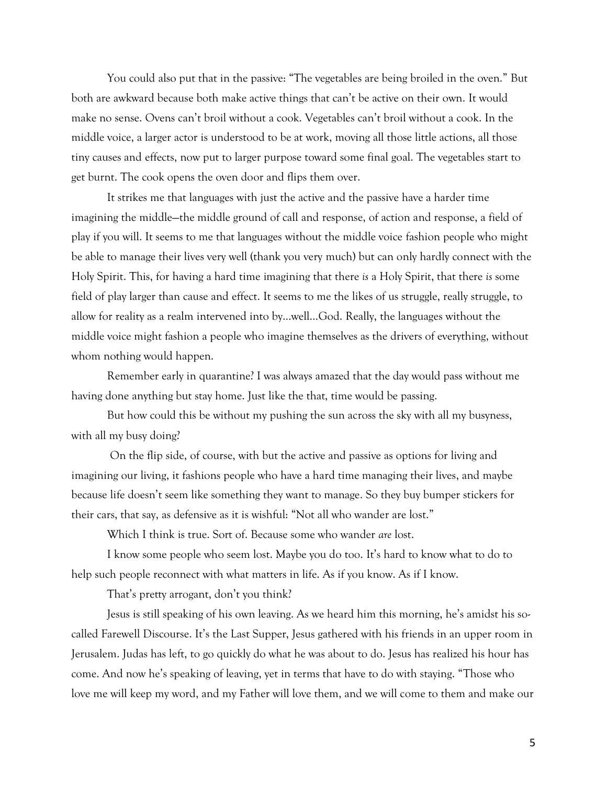You could also put that in the passive: "The vegetables are being broiled in the oven." But both are awkward because both make active things that can't be active on their own. It would make no sense. Ovens can't broil without a cook. Vegetables can't broil without a cook. In the middle voice, a larger actor is understood to be at work, moving all those little actions, all those tiny causes and effects, now put to larger purpose toward some final goal. The vegetables start to get burnt. The cook opens the oven door and flips them over.

It strikes me that languages with just the active and the passive have a harder time imagining the middle—the middle ground of call and response, of action and response, a field of play if you will. It seems to me that languages without the middle voice fashion people who might be able to manage their lives very well (thank you very much) but can only hardly connect with the Holy Spirit. This, for having a hard time imagining that there *is* a Holy Spirit, that there *is* some field of play larger than cause and effect. It seems to me the likes of us struggle, really struggle, to allow for reality as a realm intervened into by…well…God. Really, the languages without the middle voice might fashion a people who imagine themselves as the drivers of everything, without whom nothing would happen.

Remember early in quarantine? I was always amazed that the day would pass without me having done anything but stay home. Just like the that, time would be passing.

But how could this be without my pushing the sun across the sky with all my busyness, with all my busy doing?

On the flip side, of course, with but the active and passive as options for living and imagining our living, it fashions people who have a hard time managing their lives, and maybe because life doesn't seem like something they want to manage. So they buy bumper stickers for their cars, that say, as defensive as it is wishful: "Not all who wander are lost."

Which I think is true. Sort of. Because some who wander *are* lost.

I know some people who seem lost. Maybe you do too. It's hard to know what to do to help such people reconnect with what matters in life. As if you know. As if I know.

That's pretty arrogant, don't you think?

Jesus is still speaking of his own leaving. As we heard him this morning, he's amidst his socalled Farewell Discourse. It's the Last Supper, Jesus gathered with his friends in an upper room in Jerusalem. Judas has left, to go quickly do what he was about to do. Jesus has realized his hour has come. And now he's speaking of leaving, yet in terms that have to do with staying. "Those who love me will keep my word, and my Father will love them, and we will come to them and make our